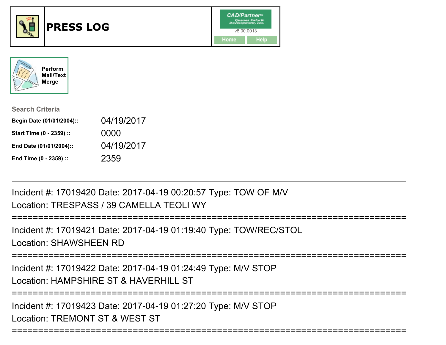





| <b>Search Criteria</b>    |            |
|---------------------------|------------|
| Begin Date (01/01/2004):: | 04/19/2017 |
| Start Time (0 - 2359) ::  | 0000       |
| End Date (01/01/2004)::   | 04/19/2017 |
| End Time (0 - 2359) ::    | 2359       |

Incident #: 17019420 Date: 2017-04-19 00:20:57 Type: TOW OF M/VLocation: TRESPASS / 39 CAMELLA TEOLI WY

```
===========================================================================
```
Incident #: 17019421 Date: 2017-04-19 01:19:40 Type: TOW/REC/STOLLocation: SHAWSHEEN RD

===========================================================================

Incident #: 17019422 Date: 2017-04-19 01:24:49 Type: M/V STOPLocation: HAMPSHIRE ST & HAVERHILL ST

===========================================================================

===========================================================================

Incident #: 17019423 Date: 2017-04-19 01:27:20 Type: M/V STOPLocation: TREMONT ST & WEST ST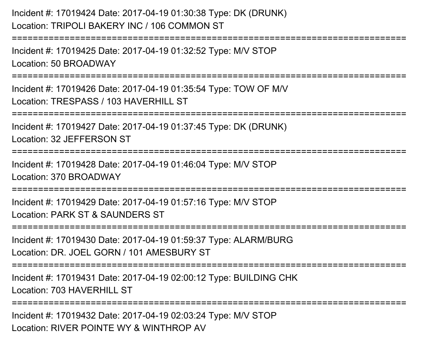Incident #: 17019424 Date: 2017-04-19 01:30:38 Type: DK (DRUNK)Location: TRIPOLI BAKERY INC / 106 COMMON ST===========================================================================Incident #: 17019425 Date: 2017-04-19 01:32:52 Type: M/V STOPLocation: 50 BROADWAY===========================================================================Incident #: 17019426 Date: 2017-04-19 01:35:54 Type: TOW OF M/VLocation: TRESPASS / 103 HAVERHILL ST ===========================================================================Incident #: 17019427 Date: 2017-04-19 01:37:45 Type: DK (DRUNK)Location: 32 JEFFERSON ST===========================================================================Incident #: 17019428 Date: 2017-04-19 01:46:04 Type: M/V STOPLocation: 370 BROADWAY===========================================================================Incident #: 17019429 Date: 2017-04-19 01:57:16 Type: M/V STOPLocation: PARK ST & SAUNDERS ST===========================================================================Incident #: 17019430 Date: 2017-04-19 01:59:37 Type: ALARM/BURGLocation: DR. JOEL GORN / 101 AMESBURY ST===========================================================================Incident #: 17019431 Date: 2017-04-19 02:00:12 Type: BUILDING CHKLocation: 703 HAVERHILL ST===========================================================================

Incident #: 17019432 Date: 2017-04-19 02:03:24 Type: M/V STOPLocation: RIVER POINTE WY & WINTHROP AV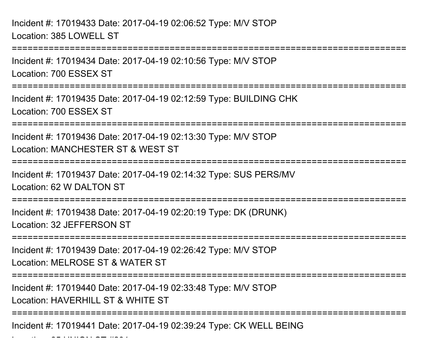$\mathcal{L}$  and  $\mathcal{L}$  from stations  $\mathcal{L}$ 

===========================================================================Incident #: 17019434 Date: 2017-04-19 02:10:56 Type: M/V STOPLocation: 700 ESSEX ST===========================================================================Incident #: 17019435 Date: 2017-04-19 02:12:59 Type: BUILDING CHKLocation: 700 ESSEX ST===========================================================================Incident #: 17019436 Date: 2017-04-19 02:13:30 Type: M/V STOPLocation: MANCHESTER ST & WEST ST===========================================================================Incident #: 17019437 Date: 2017-04-19 02:14:32 Type: SUS PERS/MVLocation: 62 W DALTON ST===========================================================================Incident #: 17019438 Date: 2017-04-19 02:20:19 Type: DK (DRUNK)Location: 32 JEFFERSON ST===========================================================================Incident #: 17019439 Date: 2017-04-19 02:26:42 Type: M/V STOPLocation: MELROSE ST & WATER ST===========================================================================Incident #: 17019440 Date: 2017-04-19 02:33:48 Type: M/V STOPLocation: HAVERHILL ST & WHITE ST===========================================================================Incident #: 17019441 Date: 2017-04-19 02:39:24 Type: CK WELL BEING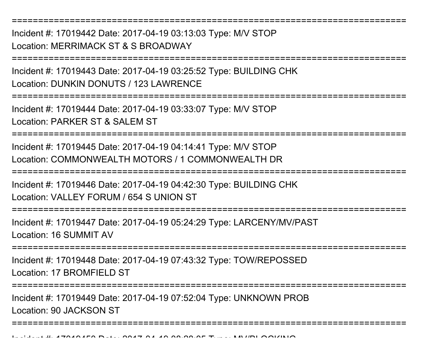Incident #: 17019442 Date: 2017-04-19 03:13:03 Type: M/V STOPLocation: MERRIMACK ST & S BROADWAY

===========================================================================

===========================================================================

Incident #: 17019443 Date: 2017-04-19 03:25:52 Type: BUILDING CHKLocation: DUNKIN DONUTS / 123 LAWRENCE

===========================================================================

Incident #: 17019444 Date: 2017-04-19 03:33:07 Type: M/V STOPLocation: PARKER ST & SALEM ST

===========================================================================

Incident #: 17019445 Date: 2017-04-19 04:14:41 Type: M/V STOPLocation: COMMONWEALTH MOTORS / 1 COMMONWEALTH DR

===========================================================================

Incident #: 17019446 Date: 2017-04-19 04:42:30 Type: BUILDING CHK

Location: VALLEY FORUM / 654 S UNION ST

===========================================================================

Incident #: 17019447 Date: 2017-04-19 05:24:29 Type: LARCENY/MV/PASTLocation: 16 SUMMIT AV

===========================================================================

Incident #: 17019448 Date: 2017-04-19 07:43:32 Type: TOW/REPOSSEDLocation: 17 BROMFIELD ST

===========================================================================

===========================================================================

Incident #: 17019449 Date: 2017-04-19 07:52:04 Type: UNKNOWN PROBLocation: 90 JACKSON ST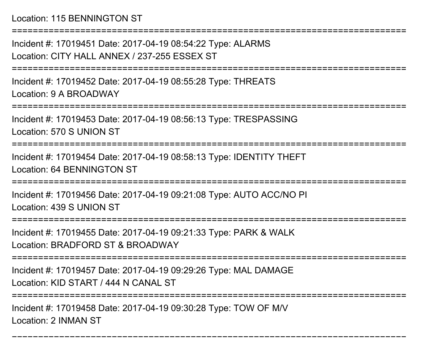Location: 115 BENNINGTON ST

Incident #: 17019451 Date: 2017-04-19 08:54:22 Type: ALARMSLocation: CITY HALL ANNEX / 237-255 ESSEX ST

===========================================================================

===========================================================================

Incident #: 17019452 Date: 2017-04-19 08:55:28 Type: THREATSLocation: 9 A BROADWAY

===========================================================================

Incident #: 17019453 Date: 2017-04-19 08:56:13 Type: TRESPASSINGLocation: 570 S UNION ST

===========================================================================

Incident #: 17019454 Date: 2017-04-19 08:58:13 Type: IDENTITY THEFTLocation: 64 BENNINGTON ST

===========================================================================

Incident #: 17019456 Date: 2017-04-19 09:21:08 Type: AUTO ACC/NO PILocation: 439 S UNION ST

======================

Incident #: 17019455 Date: 2017-04-19 09:21:33 Type: PARK & WALK

Location: BRADFORD ST & BROADWAY

===========================================================================

Incident #: 17019457 Date: 2017-04-19 09:29:26 Type: MAL DAMAGE

Location: KID START / 444 N CANAL ST

===========================================================================

===========================================================================

Incident #: 17019458 Date: 2017-04-19 09:30:28 Type: TOW OF M/VLocation: 2 INMAN ST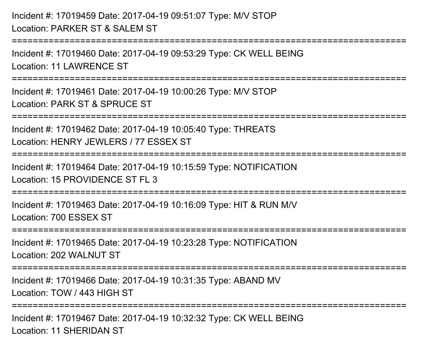Incident #: 17019459 Date: 2017-04-19 09:51:07 Type: M/V STOPLocation: PARKER ST & SALEM ST===========================================================================Incident #: 17019460 Date: 2017-04-19 09:53:29 Type: CK WELL BEINGLocation: 11 LAWRENCE ST===========================================================================Incident #: 17019461 Date: 2017-04-19 10:00:26 Type: M/V STOPLocation: PARK ST & SPRUCE ST===========================================================================Incident #: 17019462 Date: 2017-04-19 10:05:40 Type: THREATSLocation: HENRY JEWLERS / 77 ESSEX ST===========================================================================Incident #: 17019464 Date: 2017-04-19 10:15:59 Type: NOTIFICATIONLocation: 15 PROVIDENCE ST FL 3===========================================================================Incident #: 17019463 Date: 2017-04-19 10:16:09 Type: HIT & RUN M/VLocation: 700 ESSEX ST===========================================================================Incident #: 17019465 Date: 2017-04-19 10:23:28 Type: NOTIFICATIONLocation: 202 WALNUT ST**===================** Incident #: 17019466 Date: 2017-04-19 10:31:35 Type: ABAND MVLocation: TOW / 443 HIGH ST===========================================================================Incident #: 17019467 Date: 2017-04-19 10:32:32 Type: CK WELL BEINGLocation: 11 SHERIDAN ST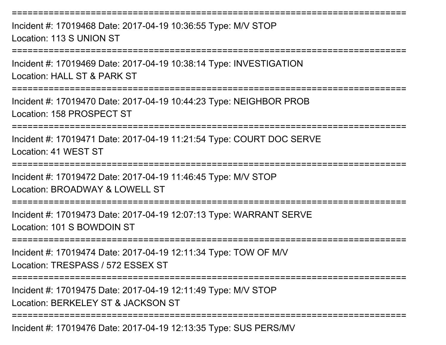Incident #: 17019468 Date: 2017-04-19 10:36:55 Type: M/V STOPLocation: 113 S UNION ST

===========================================================================

===========================================================================

Incident #: 17019469 Date: 2017-04-19 10:38:14 Type: INVESTIGATIONLocation: HALL ST & PARK ST

===========================================================================

Incident #: 17019470 Date: 2017-04-19 10:44:23 Type: NEIGHBOR PROBLocation: 158 PROSPECT ST

===========================================================================

Incident #: 17019471 Date: 2017-04-19 11:21:54 Type: COURT DOC SERVELocation: 41 WEST ST

===========================================================================

Incident #: 17019472 Date: 2017-04-19 11:46:45 Type: M/V STOP

Location: BROADWAY & LOWELL ST

===========================================================================

Incident #: 17019473 Date: 2017-04-19 12:07:13 Type: WARRANT SERVELocation: 101 S BOWDOIN ST

===========================================================================

Incident #: 17019474 Date: 2017-04-19 12:11:34 Type: TOW OF M/VLocation: TRESPASS / 572 ESSEX ST

===========================================================================

Incident #: 17019475 Date: 2017-04-19 12:11:49 Type: M/V STOP

Location: BERKELEY ST & JACKSON ST

===========================================================================

Incident #: 17019476 Date: 2017-04-19 12:13:35 Type: SUS PERS/MV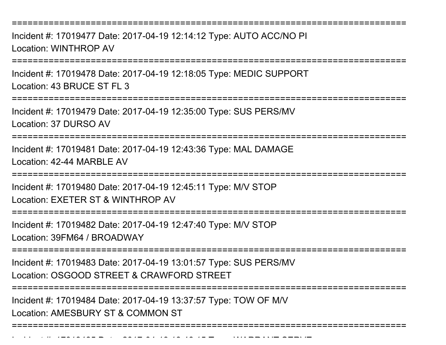===========================================================================

Incident #: 17019477 Date: 2017-04-19 12:14:12 Type: AUTO ACC/NO PILocation: WINTHROP AV

===========================================================================

Incident #: 17019478 Date: 2017-04-19 12:18:05 Type: MEDIC SUPPORTLocation: 43 BRUCE ST FL 3

===========================================================================

Incident #: 17019479 Date: 2017-04-19 12:35:00 Type: SUS PERS/MVLocation: 37 DURSO AV

===========================================================================

Incident #: 17019481 Date: 2017-04-19 12:43:36 Type: MAL DAMAGELocation: 42-44 MARBLE AV

===========================================================================

Incident #: 17019480 Date: 2017-04-19 12:45:11 Type: M/V STOP

Location: EXETER ST & WINTHROP AV

===========================================================================

Incident #: 17019482 Date: 2017-04-19 12:47:40 Type: M/V STOP

Location: 39FM64 / BROADWAY

Incident #: 17019485 Date: 2017

===========================================================================

Incident #: 17019483 Date: 2017-04-19 13:01:57 Type: SUS PERS/MVLocation: OSGOOD STREET & CRAWFORD STREET

===========================================================================

Incident #: 17019484 Date: 2017-04-19 13:37:57 Type: TOW OF M/VLocation: AMESBURY ST & COMMON ST

===========================================================================

<sup>04</sup> 19 13:46:15 Type: WARRANT SERVE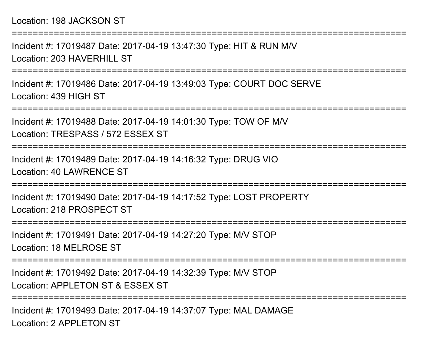Location: 198 JACKSON ST

===========================================================================Incident #: 17019487 Date: 2017-04-19 13:47:30 Type: HIT & RUN M/VLocation: 203 HAVERHILL ST ===========================================================================Incident #: 17019486 Date: 2017-04-19 13:49:03 Type: COURT DOC SERVELocation: 439 HIGH ST===========================================================================Incident #: 17019488 Date: 2017-04-19 14:01:30 Type: TOW OF M/VLocation: TRESPASS / 572 ESSEX ST===========================================================================Incident #: 17019489 Date: 2017-04-19 14:16:32 Type: DRUG VIOLocation: 40 LAWRENCE ST===========================================================================Incident #: 17019490 Date: 2017-04-19 14:17:52 Type: LOST PROPERTYLocation: 218 PROSPECT ST======================== Incident #: 17019491 Date: 2017-04-19 14:27:20 Type: M/V STOPLocation: 18 MELROSE ST===========================================================================Incident #: 17019492 Date: 2017-04-19 14:32:39 Type: M/V STOPLocation: APPLETON ST & ESSEX ST===========================================================================

Incident #: 17019493 Date: 2017-04-19 14:37:07 Type: MAL DAMAGELocation: 2 APPL FTON ST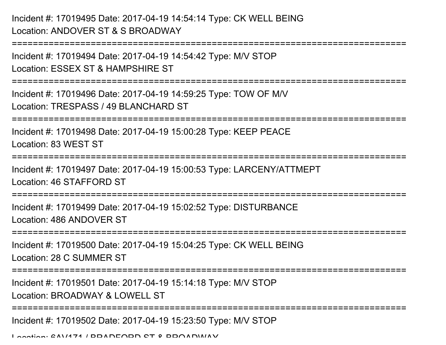Incident #: 17019495 Date: 2017-04-19 14:54:14 Type: CK WELL BEINGLocation: ANDOVER ST & S BROADWAY

===========================================================================Incident #: 17019494 Date: 2017-04-19 14:54:42 Type: M/V STOPLocation: ESSEX ST & HAMPSHIRE ST===========================================================================Incident #: 17019496 Date: 2017-04-19 14:59:25 Type: TOW OF M/VLocation: TRESPASS / 49 BLANCHARD ST===========================================================================Incident #: 17019498 Date: 2017-04-19 15:00:28 Type: KEEP PEACELocation: 83 WEST ST===========================================================================Incident #: 17019497 Date: 2017-04-19 15:00:53 Type: LARCENY/ATTMEPTLocation: 46 STAFFORD ST===========================================================================Incident #: 17019499 Date: 2017-04-19 15:02:52 Type: DISTURBANCELocation: 486 ANDOVER ST===========================================================================Incident #: 17019500 Date: 2017-04-19 15:04:25 Type: CK WELL BEINGLocation: 28 C SUMMER ST===========================================================================Incident #: 17019501 Date: 2017-04-19 15:14:18 Type: M/V STOPLocation: BROADWAY & LOWELL ST ===========================================================================Incident #: 17019502 Date: 2017-04-19 15:23:50 Type: M/V STOPLocation: 6AV171 / BRADFORD ST & BROADWAY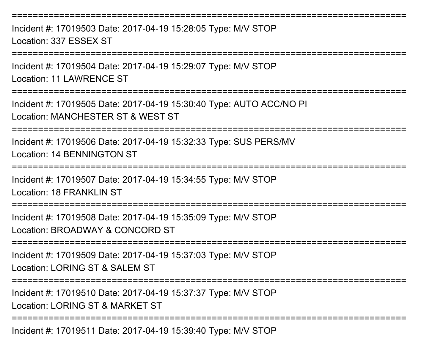===========================================================================Incident #: 17019503 Date: 2017-04-19 15:28:05 Type: M/V STOPLocation: 337 ESSEX ST===========================================================================Incident #: 17019504 Date: 2017-04-19 15:29:07 Type: M/V STOPLocation: 11 LAWRENCE ST===========================================================================Incident #: 17019505 Date: 2017-04-19 15:30:40 Type: AUTO ACC/NO PILocation: MANCHESTER ST & WEST ST===========================================================================Incident #: 17019506 Date: 2017-04-19 15:32:33 Type: SUS PERS/MVLocation: 14 BENNINGTON ST===========================================================================Incident #: 17019507 Date: 2017-04-19 15:34:55 Type: M/V STOPLocation: 18 FRANKLIN ST===========================================================================Incident #: 17019508 Date: 2017-04-19 15:35:09 Type: M/V STOPLocation: BROADWAY & CONCORD ST===========================================================================Incident #: 17019509 Date: 2017-04-19 15:37:03 Type: M/V STOPLocation: LORING ST & SALEM ST ===========================================================================Incident #: 17019510 Date: 2017-04-19 15:37:37 Type: M/V STOPLocation: LORING ST & MARKET ST===========================================================================

Incident #: 17019511 Date: 2017-04-19 15:39:40 Type: M/V STOP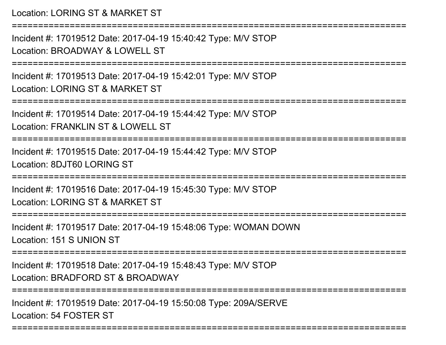Location: LORING ST & MARKET ST===========================================================================Incident #: 17019512 Date: 2017-04-19 15:40:42 Type: M/V STOPLocation: BROADWAY & LOWELL ST===========================================================================Incident #: 17019513 Date: 2017-04-19 15:42:01 Type: M/V STOPLocation: LORING ST & MARKET ST===========================================================================Incident #: 17019514 Date: 2017-04-19 15:44:42 Type: M/V STOPLocation: FRANKLIN ST & LOWELL ST===========================================================================Incident #: 17019515 Date: 2017-04-19 15:44:42 Type: M/V STOPLocation: 8DJT60 LORING ST===========================================================================Incident #: 17019516 Date: 2017-04-19 15:45:30 Type: M/V STOPLocation: LORING ST & MARKET ST===========================================================================Incident #: 17019517 Date: 2017-04-19 15:48:06 Type: WOMAN DOWNLocation: 151 S UNION ST===========================================================================Incident #: 17019518 Date: 2017-04-19 15:48:43 Type: M/V STOPLocation: BRADFORD ST & BROADWAY===========================================================================Incident #: 17019519 Date: 2017-04-19 15:50:08 Type: 209A/SERVELocation: 54 FOSTER ST

===========================================================================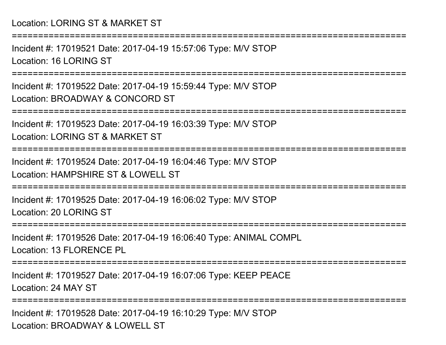Incident #: 17019521 Date: 2017-04-19 15:57:06 Type: M/V STOPLocation: 16 LORING ST

===========================================================================

===========================================================================

Incident #: 17019522 Date: 2017-04-19 15:59:44 Type: M/V STOPLocation: BROADWAY & CONCORD ST

===========================================================================

Incident #: 17019523 Date: 2017-04-19 16:03:39 Type: M/V STOPLocation: LORING ST & MARKET ST

===========================================================================

Incident #: 17019524 Date: 2017-04-19 16:04:46 Type: M/V STOPLocation: HAMPSHIRE ST & LOWELL ST

===========================================================================

Incident #: 17019525 Date: 2017-04-19 16:06:02 Type: M/V STOPLocation: 20 LORING ST

===========================================================================

Incident #: 17019526 Date: 2017-04-19 16:06:40 Type: ANIMAL COMPLLocation: 13 FLORENCE PL

===========================================================================

Incident #: 17019527 Date: 2017-04-19 16:07:06 Type: KEEP PEACELocation: 24 MAY ST

===========================================================================

Incident #: 17019528 Date: 2017-04-19 16:10:29 Type: M/V STOPLocation: BROADWAY & LOWELL ST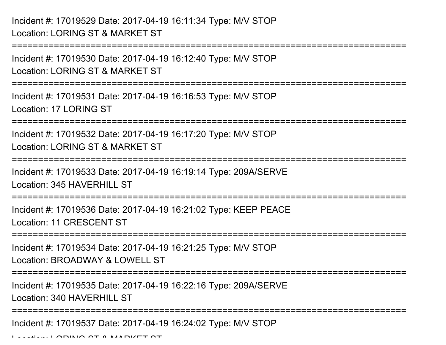Incident #: 17019529 Date: 2017-04-19 16:11:34 Type: M/V STOPLocation: LORING ST & MARKET ST

===========================================================================Incident #: 17019530 Date: 2017-04-19 16:12:40 Type: M/V STOPLocation: LORING ST & MARKET ST===========================================================================Incident #: 17019531 Date: 2017-04-19 16:16:53 Type: M/V STOPLocation: 17 LORING ST===========================================================================Incident #: 17019532 Date: 2017-04-19 16:17:20 Type: M/V STOPLocation: LORING ST & MARKET ST===========================================================================Incident #: 17019533 Date: 2017-04-19 16:19:14 Type: 209A/SERVELocation: 345 HAVERHILL ST ===========================================================================Incident #: 17019536 Date: 2017-04-19 16:21:02 Type: KEEP PEACELocation: 11 CRESCENT ST===========================================================================Incident #: 17019534 Date: 2017-04-19 16:21:25 Type: M/V STOPLocation: BROADWAY & LOWELL ST ===========================================================================Incident #: 17019535 Date: 2017-04-19 16:22:16 Type: 209A/SERVELocation: 340 HAVERHILL ST ===========================================================================Incident #: 17019537 Date: 2017-04-19 16:24:02 Type: M/V STOP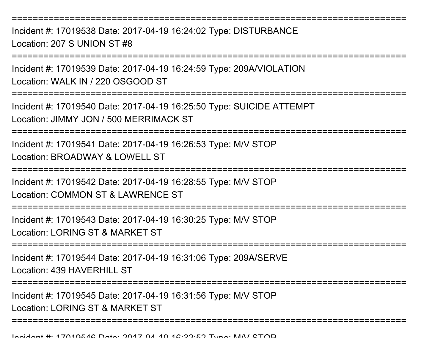===========================================================================

Incident #: 17019538 Date: 2017-04-19 16:24:02 Type: DISTURBANCELocation: 207 S UNION ST #8

===========================================================================

Incident #: 17019539 Date: 2017-04-19 16:24:59 Type: 209A/VIOLATIONLocation: WALK IN / 220 OSGOOD ST

===========================================================================

Incident #: 17019540 Date: 2017-04-19 16:25:50 Type: SUICIDE ATTEMPTLocation: JIMMY JON / 500 MERRIMACK ST

===========================================================================

Incident #: 17019541 Date: 2017-04-19 16:26:53 Type: M/V STOPLocation: BROADWAY & LOWELL ST

===========================================================================

Incident #: 17019542 Date: 2017-04-19 16:28:55 Type: M/V STOPLocation: COMMON ST & LAWRENCE ST

===========================================================================

Incident #: 17019543 Date: 2017-04-19 16:30:25 Type: M/V STOPLocation: LORING ST & MARKET ST

===========================================================================

Incident #: 17019544 Date: 2017-04-19 16:31:06 Type: 209A/SERVELocation: 439 HAVERHILL ST

===========================================================================

===========================================================================

Incident #: 17019545 Date: 2017-04-19 16:31:56 Type: M/V STOP

Location: LORING ST & MARKET ST

Inpident #: 17010516 Date: 2017 01 10 16:22:52 Type: MAI/ STOD<br>|-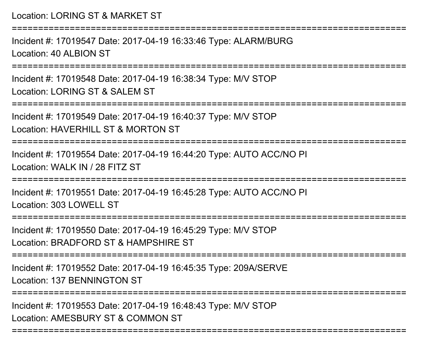===========================================================================

Incident #: 17019547 Date: 2017-04-19 16:33:46 Type: ALARM/BURGLocation: 40 ALBION ST

===========================================================================

Incident #: 17019548 Date: 2017-04-19 16:38:34 Type: M/V STOPLocation: LORING ST & SALEM ST

===========================================================================

Incident #: 17019549 Date: 2017-04-19 16:40:37 Type: M/V STOPLocation: HAVERHILL ST & MORTON ST

===========================================================================

Incident #: 17019554 Date: 2017-04-19 16:44:20 Type: AUTO ACC/NO PILocation: WALK IN / 28 FITZ ST

===========================================================================

Incident #: 17019551 Date: 2017-04-19 16:45:28 Type: AUTO ACC/NO PILocation: 303 LOWELL ST

=====================

Incident #: 17019550 Date: 2017-04-19 16:45:29 Type: M/V STOPLocation: BRADFORD ST & HAMPSHIRE ST

===========================================================================

Incident #: 17019552 Date: 2017-04-19 16:45:35 Type: 209A/SERVELocation: 137 BENNINGTON ST

===========================================================================

Incident #: 17019553 Date: 2017-04-19 16:48:43 Type: M/V STOPLocation: AMESBURY ST & COMMON ST

===========================================================================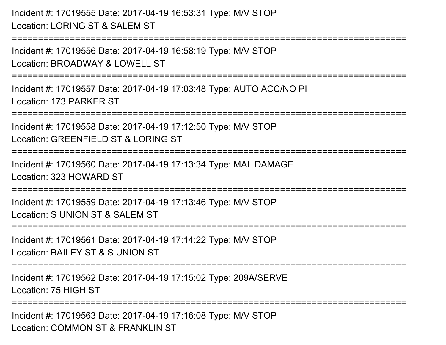Incident #: 17019555 Date: 2017-04-19 16:53:31 Type: M/V STOPLocation: LORING ST & SALEM ST

===========================================================================

Incident #: 17019556 Date: 2017-04-19 16:58:19 Type: M/V STOPLocation: BROADWAY & LOWELL ST

===========================================================================

Incident #: 17019557 Date: 2017-04-19 17:03:48 Type: AUTO ACC/NO PILocation: 173 PARKER ST

===========================================================================

Incident #: 17019558 Date: 2017-04-19 17:12:50 Type: M/V STOP

Location: GREENFIELD ST & LORING ST

===========================================================================

Incident #: 17019560 Date: 2017-04-19 17:13:34 Type: MAL DAMAGELocation: 323 HOWARD ST

===========================================================================

Incident #: 17019559 Date: 2017-04-19 17:13:46 Type: M/V STOPLocation: S UNION ST & SALEM ST

===========================================================================

Incident #: 17019561 Date: 2017-04-19 17:14:22 Type: M/V STOP

Location: BAILEY ST & S UNION ST

===========================================================================

Incident #: 17019562 Date: 2017-04-19 17:15:02 Type: 209A/SERVELocation: 75 HIGH ST

===========================

Incident #: 17019563 Date: 2017-04-19 17:16:08 Type: M/V STOPLocation: COMMON ST & FRANKLIN ST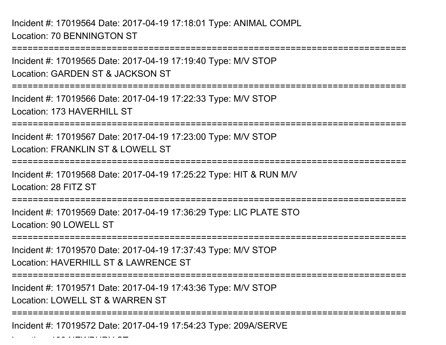Incident #: 17019564 Date: 2017-04-19 17:18:01 Type: ANIMAL COMPLLocation: 70 BENNINGTON ST

 $\mathcal{L}$  and  $\mathcal{L}$  is the constraint of  $\mathcal{L}$ 

===========================================================================Incident #: 17019565 Date: 2017-04-19 17:19:40 Type: M/V STOPLocation: GARDEN ST & JACKSON ST===========================================================================Incident #: 17019566 Date: 2017-04-19 17:22:33 Type: M/V STOPLocation: 173 HAVERHILL ST ===========================================================================Incident #: 17019567 Date: 2017-04-19 17:23:00 Type: M/V STOPLocation: FRANKLIN ST & LOWELL ST ===========================================================================Incident #: 17019568 Date: 2017-04-19 17:25:22 Type: HIT & RUN M/VLocation: 28 FITZ ST===========================================================================Incident #: 17019569 Date: 2017-04-19 17:36:29 Type: LIC PLATE STOLocation: 90 LOWELL ST===========================================================================Incident #: 17019570 Date: 2017-04-19 17:37:43 Type: M/V STOPLocation: HAVERHILL ST & LAWRENCE ST ===========================================================================Incident #: 17019571 Date: 2017-04-19 17:43:36 Type: M/V STOPLocation: LOWELL ST & WARREN ST===========================================================================Incident #: 17019572 Date: 2017-04-19 17:54:23 Type: 209A/SERVE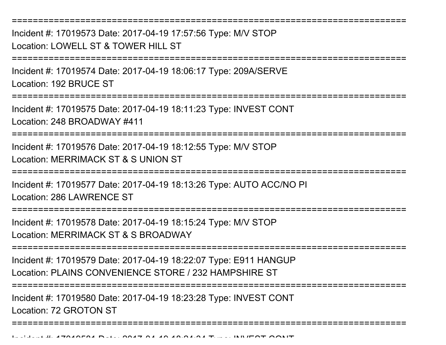Incident #: 17019573 Date: 2017-04-19 17:57:56 Type: M/V STOPLocation: LOWELL ST & TOWER HILL ST

===========================================================================

===========================================================================

Incident #: 17019574 Date: 2017-04-19 18:06:17 Type: 209A/SERVELocation: 192 BRUCE ST

===========================================================================

Incident #: 17019575 Date: 2017-04-19 18:11:23 Type: INVEST CONTLocation: 248 BROADWAY #411

===========================================================================

Incident #: 17019576 Date: 2017-04-19 18:12:55 Type: M/V STOPLocation: MERRIMACK ST & S UNION ST

===========================================================================

Incident #: 17019577 Date: 2017-04-19 18:13:26 Type: AUTO ACC/NO PI

Location: 286 LAWRENCE ST

===========================================================================

Incident #: 17019578 Date: 2017-04-19 18:15:24 Type: M/V STOPLocation: MERRIMACK ST & S BROADWAY

===========================================================================

Incident #: 17019579 Date: 2017-04-19 18:22:07 Type: E911 HANGUPLocation: PLAINS CONVENIENCE STORE / 232 HAMPSHIRE ST

===========================================================================

===========================================================================

Incident #: 17019580 Date: 2017-04-19 18:23:28 Type: INVEST CONTLocation: 72 GROTON ST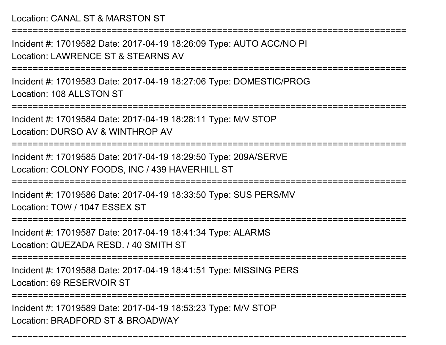Location: CANAL ST & MARSTON ST

===========================================================================

Incident #: 17019582 Date: 2017-04-19 18:26:09 Type: AUTO ACC/NO PILocation: LAWRENCE ST & STEARNS AV

===========================================================================

Incident #: 17019583 Date: 2017-04-19 18:27:06 Type: DOMESTIC/PROGLocation: 108 ALLSTON ST

===========================================================================

Incident #: 17019584 Date: 2017-04-19 18:28:11 Type: M/V STOP

Location: DURSO AV & WINTHROP AV

===========================================================================

Incident #: 17019585 Date: 2017-04-19 18:29:50 Type: 209A/SERVELocation: COLONY FOODS, INC / 439 HAVERHILL ST

===========================================================================

Incident #: 17019586 Date: 2017-04-19 18:33:50 Type: SUS PERS/MVLocation: TOW / 1047 ESSEX ST

=========================

Incident #: 17019587 Date: 2017-04-19 18:41:34 Type: ALARMS

Location: QUEZADA RESD. / 40 SMITH ST

===========================================================================

Incident #: 17019588 Date: 2017-04-19 18:41:51 Type: MISSING PERS

Location: 69 RESERVOIR ST

==================

===========================================================================

Incident #: 17019589 Date: 2017-04-19 18:53:23 Type: M/V STOPLocation: BRADFORD ST & BROADWAY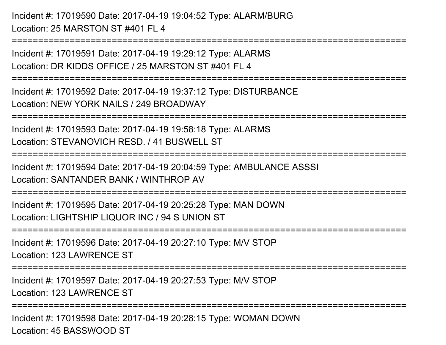Incident #: 17019590 Date: 2017-04-19 19:04:52 Type: ALARM/BURGLocation: 25 MARSTON ST #401 FL 4

Incident #: 17019591 Date: 2017-04-19 19:29:12 Type: ALARMSLocation: DR KIDDS OFFICE / 25 MARSTON ST #401 FL 4

===========================================================================

===========================================================================

Incident #: 17019592 Date: 2017-04-19 19:37:12 Type: DISTURBANCELocation: NEW YORK NAILS / 249 BROADWAY

===========================================================================

Incident #: 17019593 Date: 2017-04-19 19:58:18 Type: ALARMSLocation: STEVANOVICH RESD. / 41 BUSWELL ST

===========================================================================

Incident #: 17019594 Date: 2017-04-19 20:04:59 Type: AMBULANCE ASSSILocation: SANTANDER BANK / WINTHROP AV

===========================================================================

Incident #: 17019595 Date: 2017-04-19 20:25:28 Type: MAN DOWNLocation: LIGHTSHIP LIQUOR INC / 94 S UNION ST

===========================================================================

Incident #: 17019596 Date: 2017-04-19 20:27:10 Type: M/V STOP

Location: 123 LAWRENCE ST

===========================================================================

Incident #: 17019597 Date: 2017-04-19 20:27:53 Type: M/V STOP

Location: 123 LAWRENCE ST

===========================================================================

Incident #: 17019598 Date: 2017-04-19 20:28:15 Type: WOMAN DOWNLocation: 45 BASSWOOD ST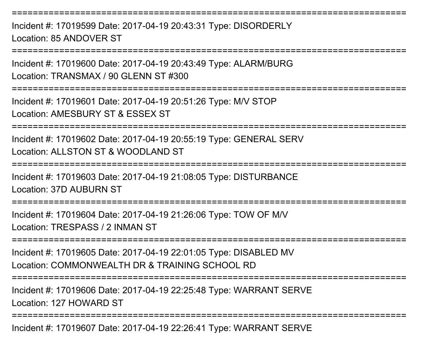Incident #: 17019599 Date: 2017-04-19 20:43:31 Type: DISORDERLYLocation: 85 ANDOVER ST

===========================================================================

===========================================================================

Incident #: 17019600 Date: 2017-04-19 20:43:49 Type: ALARM/BURGLocation: TRANSMAX / 90 GLENN ST #300

===========================================================================

Incident #: 17019601 Date: 2017-04-19 20:51:26 Type: M/V STOP

Location: AMESBURY ST & ESSEX ST

===========================================================================

Incident #: 17019602 Date: 2017-04-19 20:55:19 Type: GENERAL SERVLocation: ALLSTON ST & WOODLAND ST

===========================================================================

Incident #: 17019603 Date: 2017-04-19 21:08:05 Type: DISTURBANCELocation: 37D AUBURN ST

===========================================================================

Incident #: 17019604 Date: 2017-04-19 21:26:06 Type: TOW OF M/VLocation: TRESPASS / 2 INMAN ST

===========================================================================

Incident #: 17019605 Date: 2017-04-19 22:01:05 Type: DISABLED MVLocation: COMMONWEALTH DR & TRAINING SCHOOL RD

===========================================================================

Incident #: 17019606 Date: 2017-04-19 22:25:48 Type: WARRANT SERVELocation: 127 HOWARD ST

===========================================================================

Incident #: 17019607 Date: 2017-04-19 22:26:41 Type: WARRANT SERVE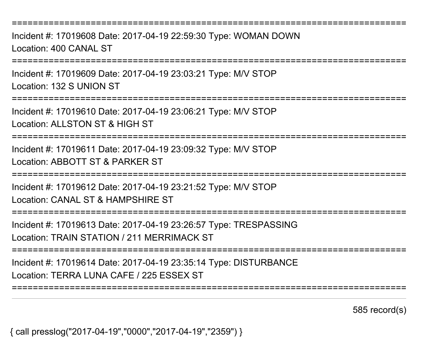===========================================================================

Incident #: 17019608 Date: 2017-04-19 22:59:30 Type: WOMAN DOWNLocation: 400 CANAL ST

===========================================================================

Incident #: 17019609 Date: 2017-04-19 23:03:21 Type: M/V STOPLocation: 132 S UNION ST

===========================================================================

Incident #: 17019610 Date: 2017-04-19 23:06:21 Type: M/V STOP

Location: ALLSTON ST & HIGH ST

===========================================================================

Incident #: 17019611 Date: 2017-04-19 23:09:32 Type: M/V STOPLocation: ABBOTT ST & PARKER ST

===========================================================================

Incident #: 17019612 Date: 2017-04-19 23:21:52 Type: M/V STOP

Location: CANAL ST & HAMPSHIRE ST

===========================================================================

Incident #: 17019613 Date: 2017-04-19 23:26:57 Type: TRESPASSINGLocation: TRAIN STATION / 211 MERRIMACK ST

===========================================================================

Incident #: 17019614 Date: 2017-04-19 23:35:14 Type: DISTURBANCELocation: TERRA LUNA CAFE / 225 ESSEX ST

===========================================================================

585 record(s)

{ call presslog("2017-04-19","0000","2017-04-19","2359") }